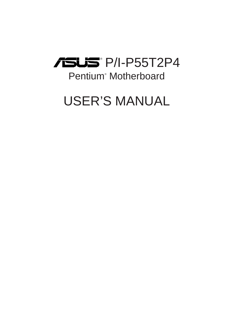

# Pentium® Motherboard

# USER'S MANUAL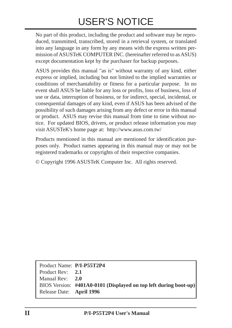# USER'S NOTICE

No part of this product, including the product and software may be reproduced, transmitted, transcribed, stored in a retrieval system, or translated into any language in any form by any means with the express written permission of ASUSTeK COMPUTER INC. (hereinafter referred to as ASUS) except documentation kept by the purchaser for backup purposes.

ASUS provides this manual "as is" without warranty of any kind, either express or implied, including but not limited to the implied warranties or conditions of merchantability or fitness for a particular purpose. In no event shall ASUS be liable for any loss or profits, loss of business, loss of use or data, interruption of business, or for indirect, special, incidental, or consequential damages of any kind, even if ASUS has been advised of the possibility of such damages arising from any defect or error in this manual or product. ASUS may revise this manual from time to time without notice. For updated BIOS, drivers, or product release information you may visit ASUSTeK's home page at: http://www.asus.com.tw/

Products mentioned in this manual are mentioned for identification purposes only. Product names appearing in this manual may or may not be registered trademarks or copyrights of their respective companies.

© Copyright 1996 ASUSTeK Computer Inc. All rights reserved.

Product Name: **P/I-P55T2P4** Product Rev: **2.1** Manual Rev: **2.0** BIOS Version: **#401A0-0101 (Displayed on top left during boot-up)** Release Date: **April 1996**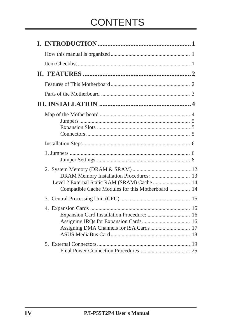# **CONTENTS**

| DRAM Memory Installation Procedures:  13<br>Compatible Cache Modules for this Motherboard  14 |  |
|-----------------------------------------------------------------------------------------------|--|
|                                                                                               |  |
|                                                                                               |  |
|                                                                                               |  |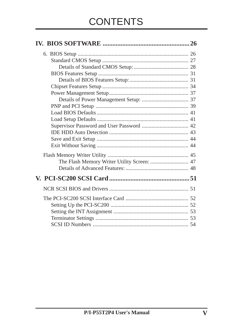| The Flash Memory Writer Utility Screen:  47 |  |
|---------------------------------------------|--|
|                                             |  |
|                                             |  |
|                                             |  |
|                                             |  |
|                                             |  |
|                                             |  |
|                                             |  |
|                                             |  |
|                                             |  |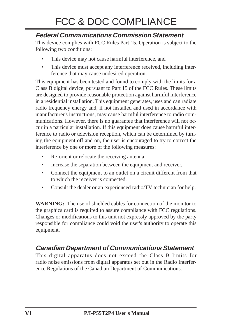# FCC & DOC COMPLIANCE

### **Federal Communications Commission Statement**

This device complies with FCC Rules Part 15. Operation is subject to the following two conditions:

- This device may not cause harmful interference, and
- This device must accept any interference received, including interference that may cause undesired operation.

This equipment has been tested and found to comply with the limits for a Class B digital device, pursuant to Part 15 of the FCC Rules. These limits are designed to provide reasonable protection against harmful interference in a residential installation. This equipment generates, uses and can radiate radio frequency energy and, if not installed and used in accordance with manufacturer's instructions, may cause harmful interference to radio communications. However, there is no guarantee that interference will not occur in a particular installation. If this equipment does cause harmful interference to radio or television reception, which can be determined by turning the equipment off and on, the user is encouraged to try to correct the interference by one or more of the following measures:

- Re-orient or relocate the receiving antenna.
- Increase the separation between the equipment and receiver.
- Connect the equipment to an outlet on a circuit different from that to which the receiver is connected.
- Consult the dealer or an experienced radio/TV technician for help.

**WARNING:** The use of shielded cables for connection of the monitor to the graphics card is required to assure compliance with FCC regulations. Changes or modifications to this unit not expressly approved by the party responsible for compliance could void the user's authority to operate this equipment.

### **Canadian Department of Communications Statement**

This digital apparatus does not exceed the Class B limits for radio noise emissions from digital apparatus set out in the Radio Interference Regulations of the Canadian Department of Communications.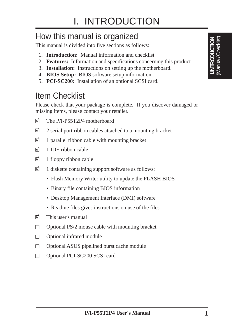# How this manual is organized

This manual is divided into five sections as follows:

- 1. **Introduction:** Manual information and checklist
- 2. **Features:** Information and specifications concerning this product
- 3. **Installation:** Instructions on setting up the motherboard.
- 4. **BIOS Setup:** BIOS software setup information.
- 5. **PCI-SC200:** Installation of an optional SCSI card.

# Item Checklist

Please check that your package is complete. If you discover damaged or missing items, please contact your retailer.

- √ The P/I-P55T2P4 motherboard
- $\overline{\mathbb{Q}}$  2 serial port ribbon cables attached to a mounting bracket
- $\overrightarrow{w}$  1 parallel ribbon cable with mounting bracket
- $\overline{M}$  1 IDE ribbon cable
- $\overline{\mathbf{u}}$  1 floppy ribbon cable
- √ 1 diskette containing support software as follows:
	- Flash Memory Writer utility to update the FLASH BIOS
	- Binary file containing BIOS information
	- Desktop Management Interface (DMI) software
	- Readme files gives instructions on use of the files
- $\nabla$  This user's manual
- $\Box$ Optional PS/2 mouse cable with mounting bracket
- Optional infrared module  $\Box$
- $\Box$ Optional ASUS pipelined burst cache module
- Optional PCI-SC200 SCSI card $\Box$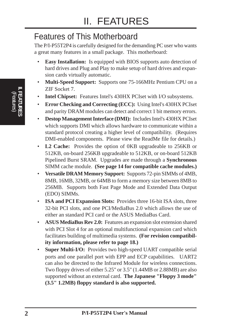# Features of This Motherboard

The P/I-P55T2P4 is carefully designed for the demanding PC user who wants a great many features in a small package. This motherboard:

- **Easy Installation:** Is equipped with BIOS supports auto detection of hard drives and Plug and Play to make setup of hard drives and expansion cards virtually automatic.
- **Multi-Speed Support:** Supports one 75-166MHz Pentium CPU on a ZIF Socket 7.
- **Intel Chipset:** Features Intel's 430HX PCIset with I/O subsystems.
- **Error Checking and Correcting (ECC):** Using Intel's 430HX PCIset and parity DRAM modules can detect and correct 1 bit memory errors.
- **Destop Management Interface (DMI):** Includes Intel's 430HX PCIset which supports DMI which allows hardware to communicate within a standard protocol creating a higher level of compatibility. (Requires DMI-enabled components. Please view the ReadMe file for details.)
- **L2 Cache:** Provides the option of 0KB upgradeable to 256KB or 512KB, on-board 256KB upgradeable to 512KB, or on-board 512KB Pipelined Burst SRAM. Upgrades are made through a **Synchronous** SIMM cache module. **(See page 14 for compatible cache modules.)**
- **Versatile DRAM Memory Support:** Supports 72-pin SIMMs of 4MB, 8MB, 16MB, 32MB, or 64MB to form a memory size between 8MB to 256MB. Supports both Fast Page Mode and Extended Data Output (EDO) SIMMs.
- **ISA and PCI Expansion Slots:** Provides three 16-bit ISA slots, three 32-bit PCI slots, and one PCI/MediaBus 2.0 which allows the use of either an standard PCI card or the ASUS MediaBus Card.
- **ASUS MediaBus Rev 2.0:** Features an expansion slot extension shared with PCI Slot 4 for an optional multifunctional expansion card which facilitates building of multimedia systems. **(For revision compatibility information, please refer to page 18.)**
- **Super Multi-I/O:** Provides two high-speed UART compatible serial ports and one parallel port with EPP and ECP capabilities. UART2 can also be directed to the Infrared Module for wireless connections. Two floppy drives of either 5.25" or 3.5" (1.44MB or 2.88MB) are also supported without an external card. **The Japanese "Floppy 3 mode" (3.5" 1.2MB) floppy standard is also supported.**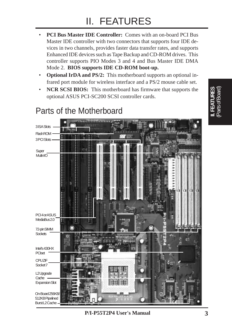- **PCI Bus Master IDE Controller:** Comes with an on-board PCI Bus Master IDE controller with two connectors that supports four IDE devices in two channels, provides faster data transfer rates, and supports Enhanced IDE devices such as Tape Backup and CD-ROM drives. This controller supports PIO Modes 3 and 4 and Bus Master IDE DMA Mode 2. **BIOS supports IDE CD-ROM boot-up.**
- **Optional IrDA and PS/2:** This motherboard supports an optional infrared port module for wireless interface and a PS/2 mouse cable set.
- **NCR SCSI BIOS:** This motherboard has firmware that supports the optional ASUS PCI-SC200 SCSI controller cards.

# Parts of the Motherboard



**P/I-P55T2P4 User's Manual 3**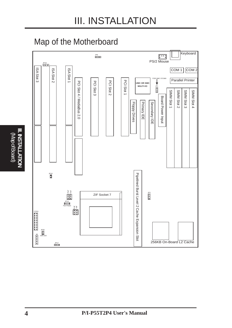# Map of the Motherboard

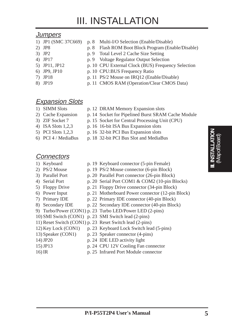# III. INSTALLATION

#### **Jumpers**

- 
- 
- 
- 
- 
- 
- 
- 
- 1) JP1 (SMC 37C669) p. 8 Multi-I/O Selection (Enable/Disable)
- 2) JP8 p. 8 Flash ROM Boot Block Program (Enable/Disable)
- 3) JP2 p. 9 Total Level 2 Cache Size Setting
- 4) JP17 p. 9 Voltage Regulator Output Selection
- 5) JP11, JP12 p. 10 CPU External Clock (BUS) Frequency Selection
- 6) JP9, JP10 p. 10 CPU:BUS Frequency Ratio
- 7) JP18 p. 11 PS/2 Mouse on IRQ12 (Enable/Disable)
- 8) JP19 p. 11 CMOS RAM (Operation/Clear CMOS Data)

#### **Expansion Slots**

- 
- 1) SIMM Slots p. 12 DRAM Memory Expansion slots
- 
- 
- 4) ISA Slots 1,2,3 p. 16 16-bit ISA Bus Expansion slots
	-
	-
- 

#### **Connectors**

- 
- 
- 
- 
- 
- 
- 
- 
- 
- 
- 
- 11) Reset Switch (CON1) p. 23 Reset Switch lead (2-pins)
- 12) Key Lock (CON1) p. 23 Keyboard Lock Switch lead (5-pins)
- 13) Speaker (CON1) p. 23 Speaker connector (4-pins)
	-
- 14) JP20 p. 24 IDE LED activity light
- 15) JP13 p. 24 CPU 12V Cooling Fan connector
- 16) IR p. 25 Infrared Port Module connector

- 2) Cache Expansion p. 14 Socket for Pipelined Burst SRAM Cache Module
- 3) ZIF Socket 7 p. 15 Socket for Central Processing Unit (CPU)
	-
- 5) PCI Slots 1,2,3 p. 16 32-bit PCI Bus Expansion slots
- 6) PCI 4 / MediaBus p. 18 32-bit PCI Bus Slot and MediaBus
	-
- 1) Keyboard p. 19 Keyboard connector (5-pin Female)
- 2) PS/2 Mouse p. 19 PS/2 Mouse connector (6-pin Block)
- 3) Parallel Port p. 20 Parallel Port connector (26-pin Block)
- 4) Serial Port p. 20 Serial Port COM1 & COM2 (10-pin Blocks)
- 5) Floppy Drive p. 21 Floppy Drive connector (34-pin Block)
- 6) Power Input p. 21 Motherboard Power connector (12-pin Block)
- 7) Primary IDE p. 22 Primary IDE connector (40-pin Block)
- 8) Secondary IDE p. 22 Secondary IDE connector (40-pin Block)
- 9) Turbo/Power (CON1) p. 23 Turbo LED/Power LED (2-pins)
- 10) SMI Switch (CON1) p. 23 SMI Switch lead (2-pins)
	- -

- 
- -
- 
- 
- 
-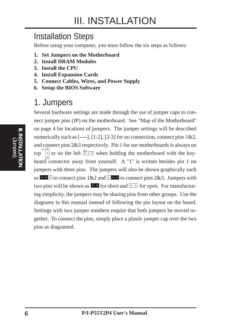# Installation Steps

Before using your computer, you must follow the six steps as follows:

- **1. Set Jumpers on the Motherboard**
- **2. Install DRAM Modules**
- **3. Install the CPU**
- **4. Install Expansion Cards**
- **5. Connect Cables, Wires, and Power Supply**
- **6. Setup the BIOS Software**

# 1. Jumpers

Several hardware settings are made through the use of jumper caps to connect jumper pins (JP) on the motherboard. See "Map of the Motherboard" on page 4 for locations of jumpers. The jumper settings will be described numerically such as  $[--1]$ ,  $[1-2]$ ,  $[2-3]$  for no connection, connect pins  $1\&2$ , and connect pins 2&3 respectively. Pin 1 for our motherboards is always on  $\mathsf{top}$ or on the left  $\frac{p_1^{n_1} - p_2^{n_2}}{p_1^{n_1} - p_2^{n_2}}$  when holding the motherboard with the keyboard connector away from yourself. A "1" is written besides pin 1 on jumpers with three pins. The jumpers will also be shown graphically such as  $\cdot \cdot \cdot$  to connect pins 1&2 and  $\cdot \cdot \cdot$  to connect pins 2&3. Jumpers with two pins will be shown as **For** for short and  $\boxed{ }$  or open. For manufacturing simplicity, the jumpers may be sharing pins from other groups. Use the diagrams in this manual instead of following the pin layout on the board. Settings with two jumper numbers require that both jumpers be moved together. To connect the pins, simply place a plastic jumper cap over the two pins as diagramed.

(Jumpers) **III. INSTALLATION**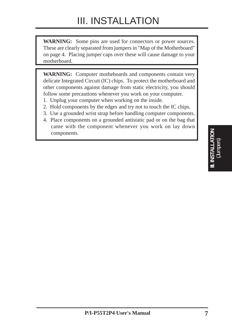**WARNING:** Some pins are used for connectors or power sources. These are clearly separated from jumpers in "Map of the Motherboard" on page 4. Placing jumper caps over these will cause damage to your motherboard.

**WARNING:** Computer motheboards and components contain very delicate Integrated Circuit (IC) chips. To protect the motherboard and other components against damage from static electricity, you should follow some precautions whenever you work on your computer.

- 1. Unplug your computer when working on the inside.
- 2. Hold components by the edges and try not to touch the IC chips.
- 3. Use a grounded wrist strap before handling computer components.
- 4. Place components on a grounded antistatic pad or on the bag that came with the component whenever you work on lay down components.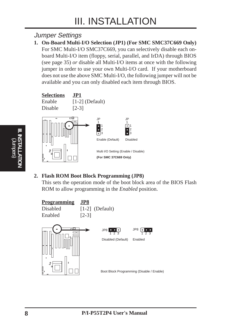### Jumper Settings

**1. On-Board Multi-I/O Selection (JP1) (For SMC SMC37C669 Only)** For SMC Multi-I/O SMC37C669, you can selectively disable each onboard Multi-I/O item (floppy, serial, parallel, and IrDA) through BIOS (see page 35) *or* disable all Multi-I/O items at once with the following jumper in order to use your own Multi-I/O card. If your motherboard does not use the above SMC Multi-I/O, the following jumper will not be available and you can only disabled each item through BIOS.



**2. Flash ROM Boot Block Programming (JP8)**

This sets the operation mode of the boot block area of the BIOS Flash ROM to allow programming in the *Enabled* position.

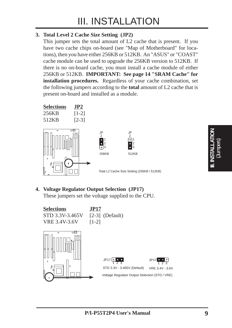#### **3. Total Level 2 Cache Size Setting (JP2)**

This jumper sets the total amount of L2 cache that is present. If you have two cache chips on-board (see "Map of Motherboard" for locations), then you have either 256KB or 512KB. An "ASUS" or "COAST" cache module can be used to upgrade the 256KB version to 512KB. If there is no on-board cache, you must install a cache module of either 256KB or 512KB. **IMPORTANT: See page 14 "SRAM Cache" for installation procedures.** Regardless of your cache combination, set the following jumpers according to the **total** amount of L2 cache that is present on-board and installed as a module.



#### **4. Voltage Regulator Output Selection (JP17)** These jumpers set the voltage supplied to the CPU.



# (Jumpers) **III. INSTALLATION**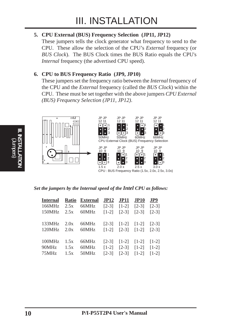#### **5. CPU External (BUS) Frequency Selection (JP11, JP12)**

These jumpers tells the clock generator what frequency to send to the CPU. These allow the selection of the CPU's *External* frequency (or *BUS Clock*). The BUS Clock times the BUS Ratio equals the CPU's *Internal* frequency (the advertised CPU speed).

#### **6. CPU to BUS Frequency Ratio (JP9, JP10)**

These jumpers set the frequency ratio between the *Internal* frequency of the CPU and the *External* frequency (called the *BUS Clock*) within the CPU. These must be set together with the above jumpers *CPU External (BUS) Frequency Selection (JP11, JP12)*.



*Set the jumpers by the Internal speed of the Intel CPU as follows:*

|  | Internal Ratio External JP12 JP11 JP10 JP9<br>166MHz 2.5x 66MHz [2-3] [1-2] [2-3] [2-3]<br>150MHz 2.5x 60MHz [1-2] [2-3] [2-3] [2-3] |  |  |
|--|--------------------------------------------------------------------------------------------------------------------------------------|--|--|
|  | 133MHz 2.0x 66MHz [2-3] [1-2] [1-2] [2-3]<br>120MHz 2.0x 60MHz [1-2] [2-3] [1-2] [2-3]                                               |  |  |
|  | 100MHz 1.5x 66MHz [2-3] [1-2] [1-2] [1-2]<br>90MHz 1.5x 60MHz [1-2] [2-3] [1-2] [1-2]<br>75MHz 1.5x 50MHz [2-3] [2-3] [1-2] [1-2]    |  |  |

(Jumpers) **III. INSTALLATION**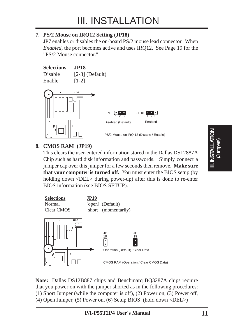#### **7. PS/2 Mouse on IRQ12 Setting (JP18)**

JP7 enables or disables the on-board PS/2 mouse lead connector. When *Enabled*, the port becomes active and uses IRQ12. See Page 19 for the "PS/2 Mouse connector."



#### **8. CMOS RAM (JP19)**

This clears the user-entered information stored in the Dallas DS12887A Chip such as hard disk information and passwords. Simply connect a jumper cap over this jumper for a few seconds then remove. **Make sure that your computer is turned off.** You must enter the BIOS setup (by holding down  $\langle$ DEL $>$  during power-up) after this is done to re-enter BIOS information (see BIOS SETUP).



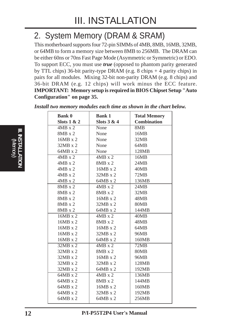# 2. System Memory (DRAM & SRAM)

This motherboard supports four 72-pin SIMMs of 4MB, 8MB, 16MB, 32MB, or 64MB to form a memory size between 8MB to 256MB. The DRAM can be either 60ns or 70ns Fast Page Mode (Asymmetric or Symmetric) or EDO. To support ECC, you must use *true* (opposed to phantom parity generated by TTL chips) 36-bit parity-type DRAM (e.g. 8 chips + 4 parity chips) in pairs for all modules. Mixing 32-bit non-parity DRAM (e.g. 8 chips) and 36-bit DRAM (e.g. 12 chips) will work minus the ECC feature. **IMPORTANT: Memory setup is required in BIOS Chipset Setup "Auto Configuration" on page 35.**

| <b>Bank 0</b><br>Slots $1 & 2$ | <b>Bank 1</b><br>Slots 3 & 4 | <b>Total Memory</b><br><b>Combination</b> |
|--------------------------------|------------------------------|-------------------------------------------|
| $4MB \times 2$                 | None                         | 8MB                                       |
| 8MB x 2                        | None                         | 16MB                                      |
| 16MB x 2                       | None                         | 32MB                                      |
| $32MB \times 2$                | None                         | 64MB                                      |
| 64MB x 2                       | None                         | 128MB                                     |
| $4MB \times 2$                 | $4MB \times 2$               | 16MB                                      |
| $4MB \times 2$                 | $8MB \times 2$               | 24MB                                      |
| $4MB \times 2$                 | 16MB x 2                     | 40MB                                      |
| $4MB \times 2$                 | $32MB \times 2$              | 72MB                                      |
| $4MB \times 2$                 | 64MB x 2                     | 136MB                                     |
| $8MB \times 2$                 | $4MB \times 2$               | 24MB                                      |
| $8MB \times 2$                 | $8MB \times 2$               | 32MB                                      |
| $8MB \times 2$                 | 16MB x 2                     | 48MB                                      |
| $8MB \times 2$                 | $32MB \times 2$              | 80MB                                      |
| 8MB x 2                        | 64MB x 2                     | 144MB                                     |
| 16MB x 2                       | $4MB \times 2$               | 40MB                                      |
| $16MB \times 2$                | $8MB \times 2$               | 48MB                                      |
| $16MB \times 2$                | 16MB x 2                     | 64MB                                      |
| 16MB x 2                       | $32MB \times 2$              | <b>96MB</b>                               |
| 16MB x 2                       | 64MB x 2                     | 160MB                                     |
| $32MB \times 2$                | $4MB \times 2$               | 72MB                                      |
| $32MB \times 2$                | $8MB \times 2$               | <b>80MB</b>                               |
| $32MB \times 2$                | 16MB x 2                     | <b>96MB</b>                               |
| $32MB \times 2$                | $32MB \times 2$              | 128MB                                     |
| $32MB \times 2$                | $64MB \times 2$              | 192MB                                     |
| 64MB x 2                       | $4MB \times 2$               | 136MB                                     |
| 64MB x 2                       | $8MB \times 2$               | 144MB                                     |
| 64MB x 2                       | 16MB x 2                     | 160MB                                     |
| $64MB \times 2$                | $32MB \times 2$              | 192MB                                     |
| 64MB x 2                       | 64MB x 2                     | 256MB                                     |

*Install two memory modules each time as shown in the chart below.*

**III. INSTALLATION NSTALLATIO** (Memory)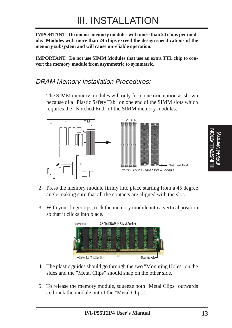**IMPORTANT: Do not use memory modules with more than 24 chips per module. Modules with more than 24 chips exceed the design specifications of the memory subsystem and will cause unreliable operation.**

**IMPORTANT: Do not use SIMM Modules that use an extra TTL chip to convert the memory module from asymmetric to symmetric.**

#### DRAM Memory Installation Procedures:

1. The SIMM memory modules will only fit in one orientation as shown because of a "Plastic Safety Tab" on one end of the SIMM slots which requires the "Notched End" of the SIMM memory modules.



- 2. Press the memory module firmly into place starting from a 45 degree angle making sure that all the contacts are aligned with the slot.
- 3. With your finger tips, rock the memory module into a vertical position so that it clicks into place.



- 4. The plastic guides should go through the two "Mounting Holes" on the sides and the "Metal Clips" should snap on the other side.
- 5. To release the memory module, squeeze both "Metal Clips" outwards and rock the module out of the "Metal Clips".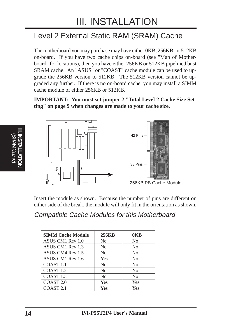# Level 2 External Static RAM (SRAM) Cache

The motherboard you may purchase may have either 0KB, 256KB, or 512KB on-board. If you have two cache chips on-board (see "Map of Motherboard" for locations), then you have either 256KB or 512KB pipelined bust SRAM cache. An "ASUS" or "COAST" cache module can be used to upgrade the 256KB version to 512KB. The 512KB version cannot be upgraded any further. If there is no on-board cache, you may install a SIMM cache module of either 256KB or 512KB.

**IMPORTANT: You must set jumper 2 "Total Level 2 Cache Size Setting" on page 9 when changes are made to your cache size.**



Insert the module as shown. Because the number of pins are different on either side of the break, the module will only fit in the orientation as shown.

#### Compatible Cache Modules for this Motherboard

| <b>SIMM Cache Module</b> | <b>256KB</b>   | 0 <sub>K</sub> B |
|--------------------------|----------------|------------------|
| ASUS CM1 Rev 1.0         | No             | N <sub>0</sub>   |
| ASUS CM1 Rev 1.3         | No             | N <sub>0</sub>   |
| ASUS CM4 Rev 1.5         | N <sub>0</sub> | N <sub>0</sub>   |
| ASUS CM1 Rev 1.6         | Yes            | N <sub>0</sub>   |
| COAST <sub>1.1</sub>     | N <sub>0</sub> | N <sub>0</sub>   |
| COAST <sub>1.2</sub>     | N <sub>0</sub> | N <sub>0</sub>   |
| COAST <sub>1.3</sub>     | No             | N <sub>0</sub>   |
| COAST <sub>2.0</sub>     | <b>Yes</b>     | Yes              |
| COAST <sub>2.1</sub>     | <b>Yes</b>     | <b>Yes</b>       |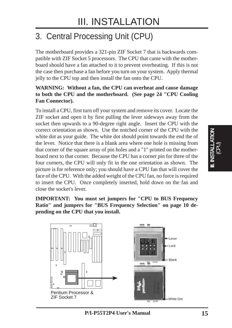# 3. Central Processing Unit (CPU)

The motherboard provides a 321-pin ZIF Socket 7 that is backwards compatible with ZIF Socket 5 processors. The CPU that came with the motherboard should have a fan attached to it to prevent overheating. If this is not the case then purchase a fan before you turn on your system. Apply thermal jelly to the CPU top and then install the fan onto the CPU.

#### **WARNING: Without a fan, the CPU can overheat and cause damage to both the CPU and the motherboard. (See page 24 "CPU Cooling Fan Connector).**

To install a CPU, first turn off your system and remove its cover. Locate the ZIF socket and open it by first pulling the lever sideways away from the socket then upwards to a 90-degree right angle. Insert the CPU with the correct orientation as shown. Use the notched corner of the CPU with the white dot as your guide. The white dot should point towards the end the of the lever. Notice that there is a blank area where one hole is missing from that corner of the square array of pin holes and a "1" printed on the motherboard next to that corner. Because the CPU has a corner pin for three of the four corners, the CPU will only fit in the one orientation as shown. The picture is for reference only; you should have a CPU fan that will cover the face of the CPU. With the added weight of the CPU fan, no force is required to insert the CPU. Once completely inserted, hold down on the fan and close the socket's lever.

**IMPORTANT: You must set jumpers for "CPU to BUS Frequency Ratio" and jumpers for "BUS Frequency Selection" on page 10 depending on the CPU that you install.**





III. INSTALLATION<br>(CPU) **III. INSTALLATION**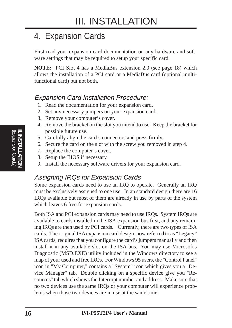# 4. Expansion Cards

First read your expansion card documentation on any hardware and software settings that may be required to setup your specific card.

**NOTE:** PCI Slot 4 has a MediaBus extension 2.0 (see page 18) which allows the installation of a PCI card or a MediaBus card (optional multifunctional card) but not both.

### Expansion Card Installation Procedure:

- 1. Read the documentation for your expansion card.
- 2. Set any necessary jumpers on your expansion card.
- 3. Remove your computer's cover.
- 4. Remove the bracket on the slot you intend to use. Keep the bracket for possible future use.
- 5. Carefully align the card's connectors and press firmly.
- 6. Secure the card on the slot with the screw you removed in step 4.
- 7. Replace the computer's cover.
- 8. Setup the BIOS if necessary.
- 9. Install the necessary software drivers for your expansion card.

### Assigning IRQs for Expansion Cards

Some expansion cards need to use an IRQ to operate. Generally an IRQ must be exclusively assigned to one use. In an standard design there are 16 IRQs available but most of them are already in use by parts of the system which leaves 6 free for expansion cards.

Both ISA and PCI expansion cards may need to use IRQs. System IRQs are available to cards installed in the ISA expansion bus first, and any remaining IRQs are then used by PCI cards. Currently, there are two types of ISA cards. The original ISA expansion card design, now referred to as "Legacy" ISA cards, requires that you configure the card's jumpers manually and then install it in any available slot on the ISA bus. You may use Microsoft's Diagnostic (MSD.EXE) utility included in the Windows directory to see a map of your used and free IRQs. For Windows 95 users, the "Control Panel" icon in "My Computer," contains a "System" icon which gives you a "Device Manager" tab. Double clicking on a specific device give you "Resources" tab which shows the Interrupt number and address. Make sure that no two devices use the same IRQs or your computer will experience problems when those two devices are in use at the same time.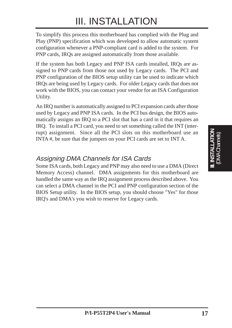# III. INSTALLATION

To simplify this process this motherboard has complied with the Plug and Play (PNP) specification which was developed to allow automatic system configuration whenever a PNP-compliant card is added to the system. For PNP cards, IRQs are assigned automatically from those available.

If the system has both Legacy and PNP ISA cards installed, IRQs are assigned to PNP cards from those not used by Legacy cards. The PCI and PNP configuration of the BIOS setup utility can be used to indicate which IRQs are being used by Legacy cards. For older Legacy cards that does not work with the BIOS, you can contact your vendor for an ISA Configuration Utility.

An IRQ number is automatically assigned to PCI expansion cards after those used by Legacy and PNP ISA cards. In the PCI bus design, the BIOS automatically assigns an IRQ to a PCI slot that has a card in it that requires an IRQ. To install a PCI card, you need to set something called the INT (interrupt) assignment. Since all the PCI slots on this motherboard use an INTA #, be sure that the jumpers on your PCI cards are set to INT A.

### Assigning DMA Channels for ISA Cards

Some ISA cards, both Legacy and PNP may also need to use a DMA (Direct Memory Access) channel. DMA assignments for this motherboard are handled the same way as the IRQ assignment process described above. You can select a DMA channel in the PCI and PNP configuration section of the BIOS Setup utility. In the BIOS setup, you should choose "Yes" for those IRQ's and DMA's you wish to reserve for Legacy cards.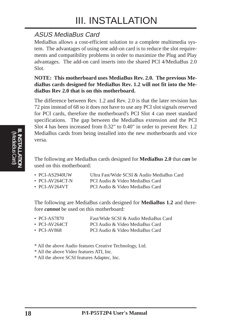### ASUS MediaBus Card

MediaBus allows a cost-efficient solution to a complete multimedia system. The advantages of using one add-on card is to reduce the slot requirements and compatibility problems in order to maximize the Plug and Play advantages. The add-on card inserts into the shared PCI 4/MediaBus 2.0 Slot.

#### **NOTE: This motherboard uses MediaBus Rev. 2.0. The previous MediaBus cards designed for MediaBus Rev. 1.2 will not fit into the MediaBus Rev 2.0 that is on this motherboard.**

The difference between Rev. 1.2 and Rev. 2.0 is that the later revision has 72 pins instead of 68 so it does not have to use any PCI slot signals reserved for PCI cards, therefore the motherboard's PCI Slot 4 can meet standard specifications. The gap between the MediaBus extension and the PCI Slot 4 has been increased from 0.32" to 0.40" in order to prevent Rev. 1.2 MediaBus cards from being installed into the new motherboards and vice versa.

The following are MediaBus cards designed for **MediaBus 2.0** that *can* be used on this motherboard:

| $\cdot$ PCI-AS2940UW  | Ultra Fast/Wide SCSI & Audio MediaBus Card |
|-----------------------|--------------------------------------------|
| $\cdot$ PCI-AV264CT-N | PCI Audio & Video MediaBus Card            |

• PCI-AV264VT PCI Audio & Video MediaBus Card

The following are MediaBus cards designed for **MediaBus 1.2** and therefore *cannot* be used on this motherboard:

| $\cdot$ PCI-AS7870 | Fast/Wide SCSI & Audio MediaBus Card |
|--------------------|--------------------------------------|
| • PCI-AV264CT      | PCI Audio & Video MediaBus Card      |
| • PCI-AV868        | PCI Audio & Video MediaBus Card      |

- \* All the above Audio features Creative Technology, Ltd.
- \* All the above Video features ATI, Inc.

\* All the above SCSI features Adaptec, Inc.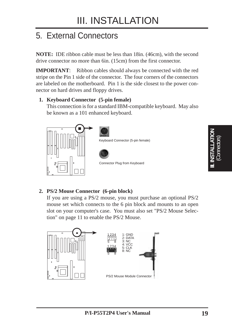# 5. External Connectors

**NOTE:** IDE ribbon cable must be less than 18in. (46cm), with the second drive connector no more than 6in. (15cm) from the first connector.

**IMPORTANT**: Ribbon cables should always be connected with the red stripe on the Pin 1 side of the connector. The four corners of the connectors are labeled on the motherboard. Pin 1 is the side closest to the power connector on hard drives and floppy drives.

#### **1. Keyboard Connector (5-pin female)**

This connection is for a standard IBM-compatible keyboard. May also be known as a 101 enhanced keyboard.



#### **2. PS/2 Mouse Connector (6-pin block)**

If you are using a PS/2 mouse, you must purchase an optional PS/2 mouse set which connects to the 6 pin block and mounts to an open slot on your computer's case. You must also set "PS/2 Mouse Selection" on page 11 to enable the PS/2 Mouse.



(Connectors) **III. INSTALLATION**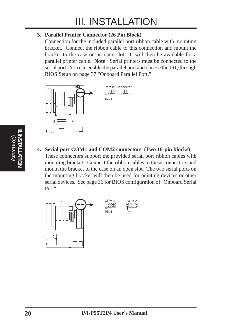#### **3. Parallel Printer Connector (26 Pin Block)**

Connection for the included parallel port ribbon cable with mounting bracket. Connect the ribbon cable to this connection and mount the bracket to the case on an open slot. It will then be available for a parallel printer cable. **Note**: Serial printers must be connected to the serial port. You can enable the parallel port and choose the IRQ through BIOS Setup on page 37 "Onboard Parallel Port."



Parallel Connector **FIREFIREFIRE** Pin 1

**4. Serial port COM1 and COM2 connectors (Two 10-pin blocks)** These connectors support the provided serial port ribbon cables with mounting bracket. Connect the ribbon cables to these connectors and mount the bracket to the case on an open slot. The two serial ports on the mounting bracket will then be used for pointing devices or other serial devices. See page 36 for BIOS configuration of "Onboard Serial Port"



(Connectors) **III. INSTALLATION**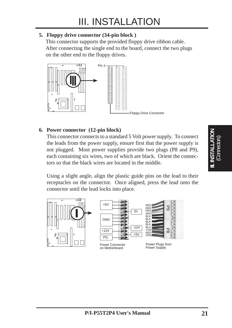#### **5. Floppy drive connector (34-pin block )**

This connector supports the provided floppy drive ribbon cable. After connecting the single end to the board, connect the two plugs on the other end to the floppy drives.



#### **6. Power connector (12-pin block)**

This connector connects to a standard 5 Volt power supply. To connect the leads from the power supply, ensure first that the power supply is not plugged. Most power supplies provide two plugs (P8 and P9), each containing six wires, two of which are black. Orient the connectors so that the black wires are located in the middle.

Using a slight angle, align the plastic guide pins on the lead to their receptacles on the connector. Once aligned, press the lead onto the connector until the lead locks into place.





Power Connector on Motherboard



Power Plugs from Power Supply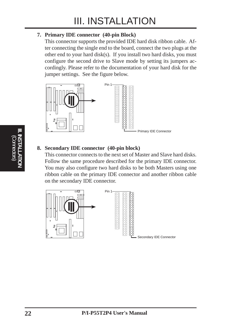#### **7. Primary IDE connector (40-pin Block)**

This connector supports the provided IDE hard disk ribbon cable. After connecting the single end to the board, connect the two plugs at the other end to your hard disk(s). If you install two hard disks, you must configure the second drive to Slave mode by setting its jumpers accordingly. Please refer to the documentation of your hard disk for the jumper settings. See the figure below.



#### **8. Secondary IDE connector (40-pin block)**

This connector connects to the next set of Master and Slave hard disks. Follow the same procedure described for the primary IDE connector. You may also configure two hard disks to be both Masters using one ribbon cable on the primary IDE connector and another ribbon cable on the secondary IDE connector.

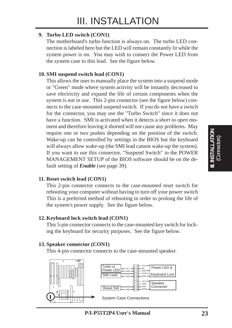#### **9. Turbo LED switch (CON1)**

The motherboard's turbo function is always on. The turbo LED connection is labeled here but the LED will remain constantly lit while the system power is on. You may wish to connect the Power LED from the system case to this lead. See the figure below.

#### **10. SMI suspend switch lead (CON1)**

This allows the user to manually place the system into a suspend mode or "Green" mode where system activity will be instantly decreased to save electricity and expand the life of certain components when the system is not in use. This 2-pin connector (see the figure below) connects to the case-mounted suspend switch. If you do not have a switch for the connector, you may use the "Turbo Switch" since it does not have a function. SMI is activated when it detects a *short to open* moment and therefore leaving it shorted will not cause any problems. May require one or two pushes depending on the position of the switch. Wake-up can be controlled by settings in the BIOS but the keyboard will always allow wake-up (the SMI lead cannot wake-up the system). If you want to use this connector, "Suspend Switch" in the POWER MANAGEMENT SETUP of the BIOS software should be on the default setting of *Enable* (see page 39).

#### **11. Reset switch lead (CON1)**

This 2-pin connector connects to the case-mounted reset switch for rebooting your computer without having to turn off your power switch This is a preferred method of rebooting in order to prolong the life of the system's power supply. See the figure below.

#### **12. Keyboard lock switch lead (CON1)**

This 5-pin connector connects to the case-mounted key switch for locking the keyboard for security purposes. See the figure below.

#### **13. Speaker connector (CON1)**

This 4-pin connector connects to the case-mounted speaker.





System Case Connections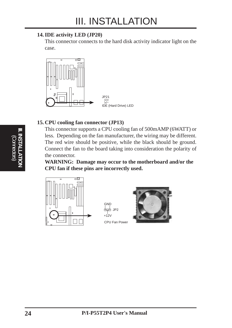#### **14. IDE activity LED (JP20)**

This connector connects to the hard disk activity indicator light on the case.



#### **15. CPU cooling fan connector (JP13)**

This connector supports a CPU cooling fan of 500mAMP (6WATT) or less. Depending on the fan manufacturer, the wiring may be different. The red wire should be positive, while the black should be ground. Connect the fan to the board taking into consideration the polarity of the connector.

**WARNING: Damage may occur to the motherboard and/or the CPU fan if these pins are incorrectly used.**



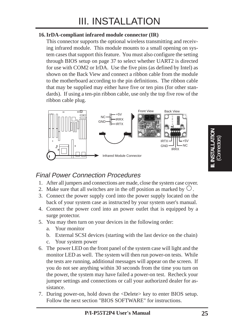#### **16. IrDA-compliant infrared module connector (IR)**

This connector supports the optional wireless transmitting and receiving infrared module. This module mounts to a small opening on system cases that support this feature. You must also configure the setting through BIOS setup on page 37 to select whether UART2 is directed for use with COM2 or IrDA. Use the five pins (as defined by Intel) as shown on the Back View and connect a ribbon cable from the module to the motherboard according to the pin definitions. The ribbon cable that may be supplied may either have five or ten pins (for other standards). If using a ten-pin ribbon cable, use only the top five row of the ribbon cable plug.



### Final Power Connection Procedures

- 1. After all jumpers and connections are made, close the system case cover.
- 2. Make sure that all switches are in the off position as marked by  $\circlearrowright$ .
- 3. Connect the power supply cord into the power supply located on the back of your system case as instructed by your system user's manual.
- 4. Connect the power cord into an power outlet that is equipped by a surge protector.
- 5. You may then turn on your devices in the following order:
	- a. Your monitor
	- b. External SCSI devices (starting with the last device on the chain)
	- c. Your system power
- 6. The power LED on the front panel of the system case will light and the monitor LED as well. The system will then run power-on tests. While the tests are running, additional messages will appear on the screen. If you do not see anything within 30 seconds from the time you turn on the power, the system may have failed a power-on test. Recheck your jumper settings and connections or call your authorized dealer for assistance.
- 7. During power-on, hold down the <Delete> key to enter BIOS setup. Follow the next section "BIOS SOFTWARE" for instructions.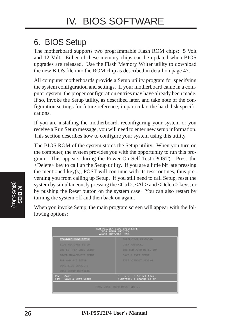# 6. BIOS Setup

The motherboard supports two programmable Flash ROM chips: 5 Volt and 12 Volt. Either of these memory chips can be updated when BIOS upgrades are released. Use the Flash Memory Writer utility to download the new BIOS file into the ROM chip as described in detail on page 47.

All computer motherboards provide a Setup utility program for specifying the system configuration and settings. If your motherboard came in a computer system, the proper configuration entries may have already been made. If so, invoke the Setup utility, as described later, and take note of the configuration settings for future reference; in particular, the hard disk specifications.

If you are installing the motherboard, reconfiguring your system or you receive a Run Setup message, you will need to enter new setup information. This section describes how to configure your system using this utility.

The BIOS ROM of the system stores the Setup utility. When you turn on the computer, the system provides you with the opportunity to run this program. This appears during the Power-On Self Test (POST). Press the <Delete> key to call up the Setup utility. If you are a little bit late pressing the mentioned key(s), POST will continue with its test routines, thus preventing you from calling up Setup. If you still need to call Setup, reset the system by simultaneously pressing the <Ctrl>, <Alt> and <Delete> keys, or by pushing the Reset button on the system case. You can also restart by turning the system off and then back on again.

When you invoke Setup, the main program screen will appear with the following options:

| ROM PCI/ISA BIOS (PI55T2P4)<br>CMOS SETUP UTILITY<br>AWARD SOFTWARE, INC. |                                                 |  |  |  |
|---------------------------------------------------------------------------|-------------------------------------------------|--|--|--|
| STANDARD CMOS SETUP                                                       | SUPERVISOR PASSWORD                             |  |  |  |
| <b>BIOS FEATURES SETUP</b>                                                | <b>USER PASSWORD</b>                            |  |  |  |
| <b>CHIPSET FEATURES SETUP</b>                                             | IDE HDD AUTO DETECTION                          |  |  |  |
| POWER MANAGEMENT SETUP                                                    | SAVE & EXIT SETUP                               |  |  |  |
| PNP AND PCI SETUP                                                         | <b>EXIT WITHOUT SAVING</b>                      |  |  |  |
| <b>LOAD BIOS DEFAULTS</b>                                                 |                                                 |  |  |  |
| <b>LOAD SETUP DEFAULTS</b>                                                |                                                 |  |  |  |
| Esc : Quit<br>F10 : Save & Exit Setup                                     | + +   : Select Item<br>(Shift)F2 : Change Color |  |  |  |
| Time, Date, Hard Disk Type                                                |                                                 |  |  |  |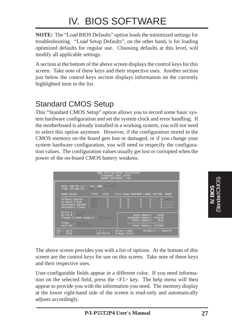# IV. BIOS SOFTWARE

**NOTE:** The "Load BIOS Defaults" option loads the minimized settings for troubleshooting. "Load Setup Defaults", on the other hand, is for loading optimized defaults for regular use. Choosing defaults at this level, will modify all applicable settings.

A section at the bottom of the above screen displays the control keys for this screen. Take note of these keys and their respective uses. Another section just below the control keys section displays information on the currently highlighted item in the list.

# Standard CMOS Setup

This "Standard CMOS Setup" option allows you to record some basic system hardware configuration and set the system clock and error handling. If the motherboard is already installed in a working system, you will not need to select this option anymore. However, if the configuration stored in the CMOS memory on the board gets lost or damaged, or if you change your system hardware configuration, you will need to respecify the configuration values. The configuration values usually get lost or corrupted when the power of the on-board CMOS battery weakens.

| ROM PCI/ISA BIOS (PI55T2P4)<br>STANDARD OMOS SETUP<br>AWARD SOFTWARE, INC.                                                                 |                                                                                                                                                                                                                                                                                                                                                                                                                                                                                                                                                                                                                                          |  |  |  |
|--------------------------------------------------------------------------------------------------------------------------------------------|------------------------------------------------------------------------------------------------------------------------------------------------------------------------------------------------------------------------------------------------------------------------------------------------------------------------------------------------------------------------------------------------------------------------------------------------------------------------------------------------------------------------------------------------------------------------------------------------------------------------------------------|--|--|--|
| Date $(mn:dd:yy)$ : Tue, Apr 16 1996<br>Time (hh:mm:ss) : 10 : $47$ : 9                                                                    |                                                                                                                                                                                                                                                                                                                                                                                                                                                                                                                                                                                                                                          |  |  |  |
| HARD DISKS                                                                                                                                 | TYPE SIZE CYLS HEAD PRECOMP LANDZ SECTOR<br>MODE                                                                                                                                                                                                                                                                                                                                                                                                                                                                                                                                                                                         |  |  |  |
| $\circ$<br>Primary Master : Allie<br>$\frac{0}{0}$<br>Primary Slave : Nome<br>Secondary Master : None<br>$\circ$<br>Secondary Slave : Nome | $\circ$<br>$\frac{1}{2}$<br>$\circ$<br>$0$ AUTO<br>$\frac{0}{0}$<br>$^{\circ}_{\circ}$<br>$^{\circ}_{\circ}$<br>0 ------<br>------<br>$\Omega$<br>$\begin{array}{cccccccccccccc} \multicolumn{2}{c}{} & \multicolumn{2}{c}{} & \multicolumn{2}{c}{} & \multicolumn{2}{c}{} & \multicolumn{2}{c}{} & \multicolumn{2}{c}{} & \multicolumn{2}{c}{} & \multicolumn{2}{c}{} & \multicolumn{2}{c}{} & \multicolumn{2}{c}{} & \multicolumn{2}{c}{} & \multicolumn{2}{c}{} & \multicolumn{2}{c}{} & \multicolumn{2}{c}{} & \multicolumn{2}{c}{} & \multicolumn{2}{c}{} & \multicolumn{2}{c}{} & \multicolumn{2}{c}{} & \multicolumn{2}{c}{} & \$ |  |  |  |
| <b>Drive A: <math>1.44M</math>.</b> $3.5$ in.<br>Drive B : Nome<br>Floppy 3 Mode Support : Disabled                                        | Base Memory: 640K<br>Extended Memory: 64512K<br>Other Memory: 384K                                                                                                                                                                                                                                                                                                                                                                                                                                                                                                                                                                       |  |  |  |
| Video : EGA/VGA<br>Halt On : All Errors                                                                                                    | Total Memory: 65536K                                                                                                                                                                                                                                                                                                                                                                                                                                                                                                                                                                                                                     |  |  |  |
| ESC : QUIT<br>F1 : Help                                                                                                                    | $PU/PD/+/-$ : Modify<br>  l → ←   : Select Item<br>(Shift)F2 : Change Color                                                                                                                                                                                                                                                                                                                                                                                                                                                                                                                                                              |  |  |  |

The above screen provides you with a list of options. At the bottom of this screen are the control keys for use on this screen. Take note of these keys and their respective uses.

User-configurable fields appear in a different color. If you need information on the selected field, press the  $\langle F1 \rangle$  key. The help menu will then appear to provide you with the information you need. The memory display at the lower right-hand side of the screen is read-only and automatically adjusts accordingly.

**IV. BIOS** (Standard CMOS)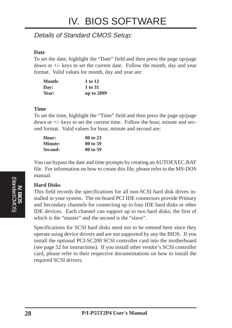### Details of Standard CMOS Setup:

#### **Date**

To set the date, highlight the "Date" field and then press the page up/page down or  $+/-$  keys to set the current date. Follow the month, day and year format. Valid values for month, day and year are:

| <b>Month:</b> | 1 to 12    |  |
|---------------|------------|--|
| Day:          | 1 to 31    |  |
| Year:         | up to 2099 |  |

#### **Time**

To set the time, highlight the "Time" field and then press the page up/page down or +/- keys to set the current time. Follow the hour, minute and second format. Valid values for hour, minute and second are:

| Hour:          | 00 to 23 |
|----------------|----------|
| <b>Minute:</b> | 00 to 59 |
| Second:        | 00 to 59 |

You can bypass the date and time prompts by creating an AUTOEXEC.BAT file. For information on how to create this file, please refer to the MS-DOS manual.

#### **Hard Disks**

This field records the specifications for all non-SCSI hard disk drives installed in your system. The on-board PCI IDE connectors provide Primary and Secondary channels for connecting up to four IDE hard disks or other IDE devices. Each channel can support up to two hard disks; the first of which is the "master" and the second is the "slave".

Specifications for SCSI hard disks need not to be entered here since they operate using device drivers and are not supported by any the BIOS. If you install the optional PCI-SC200 SCSI controller card into the motherboard (see page 52 for instructions). If you install other vendor's SCSI controller card, please refer to their respective documentations on how to install the required SCSI drivers.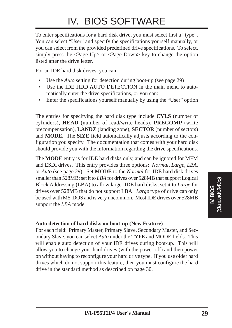# IV. BIOS SOFTWARE

To enter specifications for a hard disk drive, you must select first a "type". You can select "User" and specify the specifications yourself manually, or you can select from the provided predefined drive specifications. To select, simply press the <Page Up> or <Page Down> key to change the option listed after the drive letter.

For an IDE hard disk drives, you can:

- Use the *Auto* setting for detection during boot-up (see page 29)
- Use the IDE HDD AUTO DETECTION in the main menu to automatically enter the drive specifications, or you can:
- Enter the specifications yourself manually by using the "User" option

The entries for specifying the hard disk type include **CYLS** (number of cylinders), **HEAD** (number of read/write heads), **PRECOMP** (write precompensation), **LANDZ** (landing zone), **SECTOR** (number of sectors) and **MODE**. The **SIZE** field automatically adjusts according to the configuration you specify. The documentation that comes with your hard disk should provide you with the information regarding the drive specifications.

The **MODE** entry is for IDE hard disks only, and can be ignored for MFM and ESDI drives. This entry provides three options: *Normal, Large, LBA*, or *Auto* (see page 29). Set **MODE** to the *Normal* for IDE hard disk drives smaller than 528MB; set it to *LBA* for drives over 528MB that support Logical Block Addressing (LBA) to allow larger IDE hard disks; set it to *Large* for drives over 528MB that do not support LBA. *Large* type of drive can only be used with MS-DOS and is very uncommon. Most IDE drives over 528MB support the *LBA* mode.

#### **Auto detection of hard disks on boot-up (New Feature)**

For each field: Primary Master, Primary Slave, Secondary Master, and Secondary Slave, you can select *Auto* under the TYPE and MODE fields. This will enable auto detection of your IDE drives during boot-up. This will allow you to change your hard drives (with the power off) and then power on without having to reconfigure your hard drive type. If you use older hard drives which do not support this feature, then you must configure the hard drive in the standard method as described on page 30.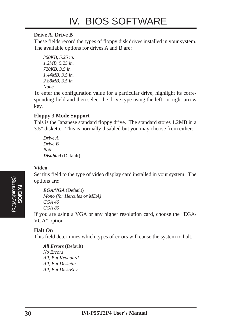#### **Drive A, Drive B**

These fields record the types of floppy disk drives installed in your system. The available options for drives A and B are:

```
360KB, 5.25 in.
1.2MB, 5.25 in.
720KB, 3.5 in.
1.44MB, 3.5 in.
2.88MB, 3.5 in.
None
```
To enter the configuration value for a particular drive, highlight its corresponding field and then select the drive type using the left- or right-arrow key.

#### **Floppy 3 Mode Support**

This is the Japanese standard floppy drive. The standard stores 1.2MB in a 3.5" diskette. This is normally disabled but you may choose from either:

*Drive A Drive B Both Disabled* (Default)

#### **Video**

Set this field to the type of video display card installed in your system. The options are:

```
EGA/VGA (Default)
Mono (for Hercules or MDA)
CGA 40
CGA 80
```
If you are using a VGA or any higher resolution card, choose the "EGA/ VGA" option.

#### **Halt On**

This field determines which types of errors will cause the system to halt.

*All Errors* (Default) *No Errors All, But Keyboard All, But Diskette All, But Disk/Key*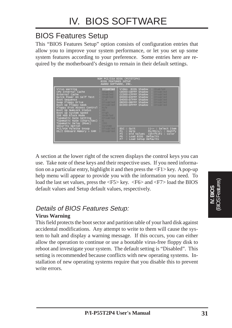### BIOS Features Setup

This "BIOS Features Setup" option consists of configuration entries that allow you to improve your system performance, or let you set up some system features according to your preference. Some entries here are required by the motherboard's design to remain in their default settings.

| ROM PCI/ISA BIOS (PI55T2P4)<br><b>BIOS FEATURES SETUP</b><br>AWARD SOFTWARE, INC.                                                                                                                                                                                                                                                                                                              |                                                                                                 |                                                                                                                                                                                                                                            |  |
|------------------------------------------------------------------------------------------------------------------------------------------------------------------------------------------------------------------------------------------------------------------------------------------------------------------------------------------------------------------------------------------------|-------------------------------------------------------------------------------------------------|--------------------------------------------------------------------------------------------------------------------------------------------------------------------------------------------------------------------------------------------|--|
| Virus Warning<br>CPU Internal Cache<br>External Cache<br>Quick Power On Self Test<br>Boot Sequence<br>Swap Floppy Drive<br>Boot Up Floppy Seek<br>Floppy Disk Access Control : R/M<br>Boot Up NumLock Status<br>$-0.00$<br>Boot Up System Speed : High<br>IDE HDD Block Mode : Habled<br><b>Typematic Rate Setting [18] Disabled</b><br>Typematic Rate (Chars/Sec) :<br>Typematic Delay (Msec) | : Disabled<br>Enabled<br>st : Enabled<br>st : Enabled<br>C, A<br>Disabled<br>Disabled<br>$-250$ | Video BIOS Shadow<br>Enabled<br>C8000-CBFFF Shadow<br>Disabled<br>CC000-CFFFF Shadow<br>Disabled<br>D0000-D3FFF Shadow<br>Disabled<br>D4000-D7FFF Shadow<br>Disabled<br>Disabled<br>D8000-DBFFF Shadow  <br>DC000-DFFFF Shadow<br>Disabled |  |
| Security Option<br>PCI/VGA Palette Snoop : Disabled<br>OS/2 Onboard Memory > 64M : Disabled                                                                                                                                                                                                                                                                                                    |                                                                                                 | $\mathsf{esc}$ : Quit<br>il→← : Select Item<br>: Help<br>F1.<br>$PU/PD/+/-$ : Modify<br>F5<br>: Old Values (Shift)F2 : Color<br>F6 : Load BIOS Defaults<br>FZ.<br>: Load Setup Defaults                                                    |  |

A section at the lower right of the screen displays the control keys you can use. Take note of these keys and their respective uses. If you need information on a particular entry, highlight it and then press the <F1> key. A pop-up help menu will appear to provide you with the information you need. To load the last set values, press the  $\langle$ F5> key.  $\langle$ F6> and  $\langle$ F7> load the BIOS default values and Setup default values, respectively.

### Details of BIOS Features Setup:

#### **Virus Warning**

This field protects the boot sector and partition table of your hard disk against accidental modifications. Any attempt to write to them will cause the system to halt and display a warning message. If this occurs, you can either allow the operation to continue or use a bootable virus-free floppy disk to reboot and investigate your system. The default setting is "Disabled". This setting is recommended because conflicts with new operating systems. Installation of new operating systems require that you disable this to prevent write errors.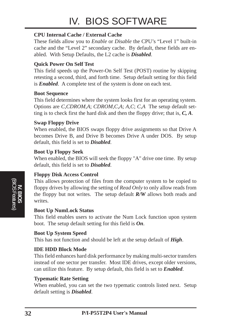# IV. BIOS SOFTWARE

#### **CPU Internal Cache / External Cache**

These fields allow you to *Enable* or *Disable* the CPU's "Level 1" built-in cache and the "Level 2" secondary cache. By default, these fields are enabled. With Setup Defaults, the L2 cache is *Disabled*.

#### **Quick Power On Self Test**

This field speeds up the Power-On Self Test (POST) routine by skipping retesting a second, third, and forth time. Setup default setting for this field is *Enabled*. A complete test of the system is done on each test.

#### **Boot Sequence**

This field determines where the system looks first for an operating system. Options are *C,CDROM,A*; *CDROM,C,A*; *A,C*; *C,A* The setup default setting is to check first the hard disk and then the floppy drive; that is, *C, A*.

#### **Swap Floppy Drive**

When enabled, the BIOS swaps floppy drive assignments so that Drive A becomes Drive B, and Drive B becomes Drive A under DOS. By setup default, this field is set to *Disabled*.

#### **Boot Up Floppy Seek**

When enabled, the BIOS will seek the floppy "A" drive one time. By setup default, this field is set to *Disabled*.

#### **Floppy Disk Access Control**

This allows protection of files from the computer system to be copied to floppy drives by allowing the setting of *Read Only* to only allow reads from the floppy but not writes. The setup default *R/W* allows both reads and writes.

#### **Boot Up NumLock Status**

This field enables users to activate the Num Lock function upon system boot. The setup default setting for this field is *On*.

#### **Boot Up System Speed**

This has not function and should be left at the setup default of *High*.

#### **IDE HDD Block Mode**

This field enhances hard disk performance by making multi-sector transfers instead of one sector per transfer. Most IDE drives, except older versions, can utilize this feature. By setup default, this field is set to *Enabled*.

#### **Typematic Rate Setting**

When enabled, you can set the two typematic controls listed next. Setup default setting is *Disabled*.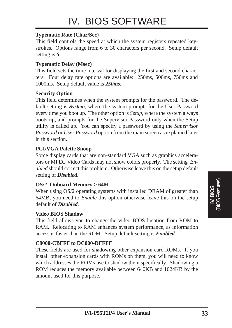#### **Typematic Rate (Char/Sec)**

This field controls the speed at which the system registers repeated keystrokes. Options range from 6 to 30 characters per second. Setup default setting is *6*.

#### **Typematic Delay (Msec)**

This field sets the time interval for displaying the first and second characters. Four delay rate options are available: 250ms, 500ms, 750ms and 1000ms. Setup default value is *250ms*.

#### **Security Option**

This field determines when the system prompts for the password. The default setting is *System*, where the system prompts for the User Password every time you boot up. The other option is *Setup*, where the system always boots up, and prompts for the Supervisor Password only when the Setup utility is called up. You can specify a password by using the *Supervisor Password* or *User Password* option from the main screen as explained later in this section.

#### **PCI/VGA Palette Snoop**

Some display cards that are non-standard VGA such as graphics accelerators or MPEG Video Cards may not show colors properly. The setting *Enabled* should correct this problem. Otherwise leave this on the setup default setting of *Disabled*.

#### **OS/2 Onboard Memory > 64M**

When using OS/2 operating systems with installed DRAM of greater than 64MB, you need to *Enable* this option otherwise leave this on the setup default of *Disabled*.

#### **Video BIOS Shadow**

This field allows you to change the video BIOS location from ROM to RAM. Relocating to RAM enhances system performance, as information access is faster than the ROM. Setup default setting is *Enabled*.

#### **C8000-CBFFF to DC000-DFFFF**

These fields are used for shadowing other expansion card ROMs. If you install other expansion cards with ROMs on them, you will need to know which addresses the ROMs use to shadow them specifically. Shadowing a ROM reduces the memory available between 640KB and 1024KB by the amount used for this purpose.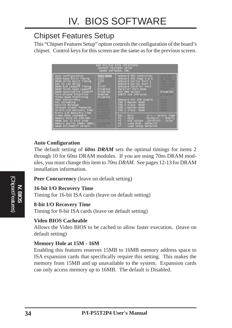# Chipset Features Setup

This "Chipset Features Setup" option controls the configuration of the board's chipset. Control keys for this screen are the same as for the previous screen.

| CHIPSET FEATURES SETUP<br>AWARD SOFTWARE, INC.                                                                                                                                                                                                                                                                                                                                                                                                                                                                                           | ROM PCI/ISA BIOS (PI55T2P4)                                                                                                                                                                                                                                                                                                                                                                                                                                      |
|------------------------------------------------------------------------------------------------------------------------------------------------------------------------------------------------------------------------------------------------------------------------------------------------------------------------------------------------------------------------------------------------------------------------------------------------------------------------------------------------------------------------------------------|------------------------------------------------------------------------------------------------------------------------------------------------------------------------------------------------------------------------------------------------------------------------------------------------------------------------------------------------------------------------------------------------------------------------------------------------------------------|
| Auto Configuration<br>: 60ns DRAM<br>DRAM Read Burst Timing<br>: x222<br>: x333<br>DRAM Write Burst Timing<br>: 3T<br>RAS to CAS Delay<br>DRAM R/W Leadoff Timing<br>: 6T/5T<br>DRAM Turbo Read Leadoff<br>: Disabled<br>DRAM Speculative Leadoff<br>: Disabled<br>Turn-Around Insertion<br>: Enabled<br>Turbo Read Pipelining<br>: Disabled<br>Peer Concurrency<br>PCI Streaming : Enables<br>Passive Release : Enables<br>Chipset Global Features : Enabled<br>16-bit I/O Recovery Time : 1 BUSCHK<br>8-bit I/O Recovery Time : BUSCIK | Enabled<br>Onboard FDC Controller<br>Onboard FDC Swap A & B<br>- No Swap<br>Onboard Serial Port 1<br>COML, 3F8H<br>Onboard Serial Port 2<br>COM2, 2F8H<br>Onboard Parallel Port<br>378H/IRQ7<br>Parallel Port Mode<br>- Normal<br>: Disabled<br>ECP DMA Select<br>UART2 Use Infrared<br>Disabled<br>Onboard PCI IDE Enable<br>- Both<br>IDE 0 Master Mode<br>- Auto<br>IDE 0 Slave Mode<br>- Auto<br>IDE 1 Master Mode<br>- Auto<br>IDE 1 Slave Mode<br>$-$ Auto |
| Video BIOS Cacheable —<br>: Enabled<br>Disabled<br>Memory Hole At 15M-16M<br>DRAM are 72 bits wide<br>Memory parity SERR# (NMI): Disabled<br>DRAM ECC/PARITY Select<br><b>Parity</b>                                                                                                                                                                                                                                                                                                                                                     | ESC : Quit<br>  ⊣- : Select Item<br>$F1$ : Help<br>PU/PD/+/- : Modify<br>F5<br>: Old Values (Shift)F2 : Color<br>F <sub>6</sub><br>: Load BIOS Defaults<br>F7<br>Defaults<br>: Load Setup                                                                                                                                                                                                                                                                        |

#### **Auto Configuration**

The default setting of *60ns DRAM* sets the optimal timings for items 2 through 10 for 60ns DRAM modules. If you are using 70ns DRAM modules, you must change this item to *70ns DRAM*. See pages 12-13 for DRAM installation information.

**Peer Concurrency** (leave on default setting)

#### **16-bit I/O Recovery Time**

Timing for 16-bit ISA cards (leave on default setting)

#### **8-bit I/O Recovery Time**

Timing for 8-bit ISA cards (leave on default setting)

#### **Video BIOS Cacheable**

Allows the Video BIOS to be cached to allow faster execution. (leave on default setting)

#### **Memory Hole at 15M - 16M**

Enabling this features reserves 15MB to 16MB memory address space to ISA expansion cards that specifically require this setting. This makes the memory from 15MB and up unavailable to the system. Expansion cards can only access memory up to 16MB. The default is Disabled.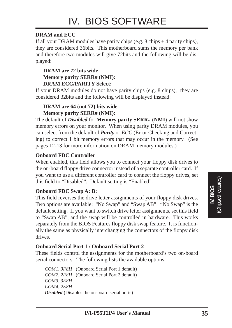#### **DRAM and ECC**

If all your DRAM modules have parity chips (e.g.  $8 \text{ chips} + 4 \text{ parity chips}$ ), they are considered 36bits. This motherboard sums the memory per bank and therefore two modules will give 72bits and the following will be displayed:

#### **DRAM are 72 bits wide Memory parity SERR# (NMI): DRAM ECC/PARITY Select:**

If your DRAM modules do not have parity chips (e.g. 8 chips), they are considered 32bits and the following will be displayed instead:

#### **DRAM are 64 (not 72) bits wide Memory parity SERR# (NMI):**

The default of *Disabled* for **Memory parity SERR# (NMI)** will not show memory errors on your monitor. When using parity DRAM modules, you can select from the default of *Parity* or *ECC* (Error Checking and Correcting) to correct 1 bit memory errors that may occur in the memory. (See pages 12-13 for more information on DRAM memory modules.)

#### **Onboard FDC Controller**

When enabled, this field allows you to connect your floppy disk drives to the on-board floppy drive connector instead of a separate controller card. If you want to use a different controller card to connect the floppy drives, set this field to "Disabled". Default setting is "Enabled".

#### **Onboard FDC Swap A: B:**

This field reverses the drive letter assignments of your floppy disk drives. Two options are available: "No Swap" and "Swap AB". "No Swap" is the default setting. If you want to switch drive letter assignments, set this field to "Swap AB", and the swap will be controlled in hardware. This works separately from the BIOS Features floppy disk swap feature. It is functionally the same as physically interchanging the connectors of the floppy disk drives.

#### **Onboard Serial Port 1 / Onboard Serial Port 2**

These fields control the assignments for the motherboard's two on-board serial connectors. The following lists the available options:

*COM1, 3F8H* (Onboard Serial Port 1 default) *COM2, 2F8H* (Onboard Serial Port 2 default) *COM3, 3E8H COM4, 2E8H Disabled* (Disables the on-board serial ports)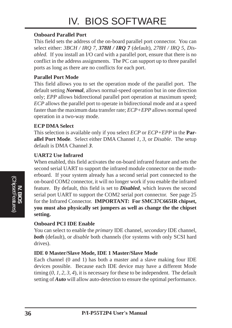#### **Onboard Parallel Port**

This field sets the address of the on-board parallel port connector. You can select either: *3BCH / IRQ 7, 378H / IRQ 7* (default)*, 278H / IRQ 5, Disabled.* If you install an I/O card with a parallel port, ensure that there is no conflict in the address assignments. The PC can support up to three parallel ports as long as there are no conflicts for each port.

#### **Parallel Port Mode**

This field allows you to set the operation mode of the parallel port. The default setting *Normal*, allows normal-speed operation but in one direction only; *EPP* allows bidirectional parallel port operation at maximum speed; *ECP* allows the parallel port to operate in bidirectional mode and at a speed faster than the maximum data transfer rate; *ECP+EPP* allows normal speed operation in a two-way mode.

#### **ECP DMA Select**

This selection is available only if you select *ECP* or *ECP+EPP* in the **Parallel Port Mode**. Select either DMA Channel *1, 3,* or *Disable*. The setup default is DMA Channel *3*.

#### **UART2 Use Infrared**

When enabled, this field activates the on-board infrared feature and sets the second serial UART to support the infrared module connector on the motherboard. If your system already has a second serial port connected to the on-board COM2 connector, it will no longer work if you enable the infrared feature. By default, this field is set to *Disabled*, which leaves the second serial port UART to support the COM2 serial port connector. See page 25 for the Infrared Connector. **IMPORTANT: For SMC37C665IR chipset, you must also physically set jumpers as well as change the the chipset setting.**

#### **Onboard PCI IDE Enable**

You can select to enable the *primary* IDE channel, *secondary* IDE channel, **both** (default), or *disable* both channels (for systems with only SCSI hard drives).

#### **IDE 0 Master/Slave Mode, IDE 1 Master/Slave Mode**

Each channel (0 and 1) has both a master and a slave making four IDE devices possible. Because each IDE device may have a different Mode timing (*0, 1, 2, 3, 4*), it is necessary for these to be independent. The default setting of *Auto* will allow auto-detection to ensure the optimal performance.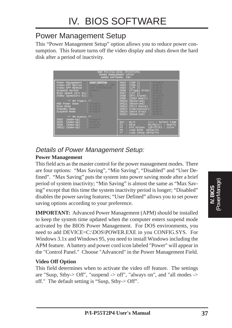### Power Management Setup

This "Power Management Setup" option allows you to reduce power consumption. This feature turns off the video display and shuts down the hard disk after a period of inactivity.

| POWER MANAGEMENT SETUP<br>AWARD SOFTWARE, INC.                                                                                                                                                        | ROM PCI/ISA BIOS (PI55T2P4)                                                                                                                                                                                                                        |
|-------------------------------------------------------------------------------------------------------------------------------------------------------------------------------------------------------|----------------------------------------------------------------------------------------------------------------------------------------------------------------------------------------------------------------------------------------------------|
| : User Define<br>Power Management<br>Video Off Option<br>$SUSD, Stby \rightarrow Off$<br>Video Off Method : V/H SYNC+Blank<br>Suspend Switch : Enable<br>Doze Speed (div by):<br>stdby Speed(div by): | $\text{(COM 2)}$ : Disable<br>IRQ3<br>$\text{(COM 1)}$ : Enable<br>IRQ4<br>IRQ5<br>(LPT 2)<br>Enable<br>(Floppy Disk): Enable<br>IRQ <sub>6</sub><br>IRQ7<br>$(LPT 1)$ : Enable<br>(RTC Alarm) : Disable.<br>IRQ8<br>(IRQ2 Redir) : Enable<br>IRQ9 |
| as PM Timers as<br>Disable<br>HDD Power Down<br>Doze Mode<br>Standby Mode (1995) : Disable<br>Suspend Mode<br>Disable                                                                                 | IRQ10<br>(Reserved) : Enable<br>(Reserved) : Enable.<br>IRQ11<br>IRQ12 (PS/2 Mouse) : Enable<br>(Coprocessor): Enable<br>IRQ13<br>IRQ14 (Hard Disk) : Enable<br>IRQ15 (Reserved) : Enable                                                          |
| as PM Events as<br>(Wake-Up)<br>Disable<br>IRQ3<br>(wake-Up) : Enable<br>IRQ4<br>(Wake-Up) : Disable<br>IRQ8<br>Enable<br>IRQ12<br>(Wake-Up)                                                          | ESC : Quit<br>$11++$ : Select Item<br>$F1$ : $He1p$<br>$PU/PD/+/-$ : Modify<br>FS.<br>: Old Values (Shift)F2 : Color<br>F6<br>: Load BIOS Defaults<br>F7<br>: Load Setup Defaults                                                                  |

### Details of Power Management Setup:

#### **Power Management**

This field acts as the master control for the power management modes. There are four options: "Max Saving", "Min Saving", "Disabled" and "User Defined". "Max Saving" puts the system into power saving mode after a brief period of system inactivity; "Min Saving" is almost the same as "Max Saving" except that this time the system inactivity period is longer; "Disabled" disables the power saving features; "User Defined" allows you to set power saving options according to your preference.

**IMPORTANT:** Advanced Power Management (APM) should be installed to keep the system time updated when the computer enters suspend mode activated by the BIOS Power Management. For DOS environments, you need to add DEVICE=C:\DOS\POWER.EXE in you CONFIG.SYS. For Windows 3.1x and Windows 95, you need to install Windows including the APM feature. A battery and power cord icon labeled "Power" will appear in the "Control Panel." Choose "Advanced" in the Power Management Field.

#### **Video Off Option**

This field determines when to activate the video off feature. The settings are "Susp, Stby- $>$  Off", "suspend - $>$  off", "always on", and "all modes - $>$ off." The default setting is "Susp, Stby-> Off".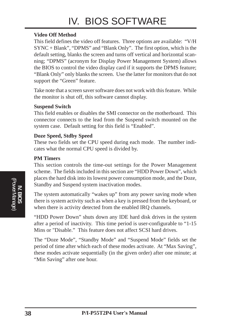# IV. BIOS SOFTWARE

#### **Video Off Method**

This field defines the video off features. Three options are available: "V/H SYNC + Blank", "DPMS" and "Blank Only". The first option, which is the default setting, blanks the screen and turns off vertical and horizontal scanning; "DPMS" (acronym for Display Power Management System) allows the BIOS to control the video display card if it supports the DPMS feature; "Blank Only" only blanks the screen. Use the latter for monitors that do not support the "Green" feature.

Take note that a screen saver software does not work with this feature. While the monitor is shut off, this software cannot display.

#### **Suspend Switch**

This field enables or disables the SMI connector on the motherboard. This connector connects to the lead from the Suspend switch mounted on the system case. Default setting for this field is "Enabled".

#### **Doze Speed, Stdby Speed**

These two fields set the CPU speed during each mode. The number indicates what the normal CPU speed is divided by.

#### **PM Timers**

This section controls the time-out settings for the Power Management scheme. The fields included in this section are "HDD Power Down", which places the hard disk into its lowest power consumption mode, and the Doze, Standby and Suspend system inactivation modes.

The system automatically "wakes up" from any power saving mode when there is system activity such as when a key is pressed from the keyboard, or when there is activity detected from the enabled IRQ channels.

"HDD Power Down" shuts down any IDE hard disk drives in the system after a period of inactivity. This time period is user-configurable to "1-15 Mins or "Disable." This feature does not affect SCSI hard drives.

The "Doze Mode", "Standby Mode" and "Suspend Mode" fields set the period of time after which each of these modes activate. At "Max Saving", these modes activate sequentially (in the given order) after one minute; at "Min Saving" after one hour.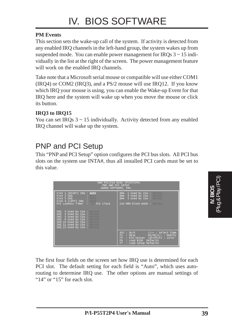#### **PM Events**

This section sets the wake-up call of the system. If activity is detected from any enabled IRQ channels in the left-hand group, the system wakes up from suspended mode. You can enable power management for IRQs  $3 \sim 15$  individually in the list at the right of the screen. The power management feature will work on the enabled IRQ channels.

Take note that a Microsoft serial mouse or compatible will use either COM1 (IRQ4) or COM2 (IRQ3), and a PS/2 mouse will use IRQ12. If you know which IRQ your mouse is using, you can enable the Wake-up Event for that IRQ here and the system will wake up when you move the mouse or click its button.

#### **IRQ3 to IRQ15**

You can set IRQs  $3 \sim 15$  individually. Activity detected from any enabled IRQ channel will wake up the system.

# PNP and PCI Setup

This "PNP and PCI Setup" option configures the PCI bus slots. All PCI bus slots on the system use INTA#, thus all installed PCI cards must be set to this value.

| ROM PCI/ISA BIOS (PI55T2P4)<br>PNP AND PCI SETUP<br>AWARD SOFTWARE, INC.                                                                                                                                                                                  |                                                                                                                                                                                |  |  |  |  |
|-----------------------------------------------------------------------------------------------------------------------------------------------------------------------------------------------------------------------------------------------------------|--------------------------------------------------------------------------------------------------------------------------------------------------------------------------------|--|--|--|--|
| Slot 1 (RIGHT) IRQ : Auto<br>Slot 2 IRQ : AUTO<br>Slot 3 IRQ<br>Slot 4 (LEFT) IRQ : AUTO                                                                                                                                                                  | 1 Used By ISA : No Tell<br><b>DMA</b><br>3 Used By ISA : No Tell<br><b>DMA</b><br>5 Used By ISA : No Tell<br>DMA.                                                              |  |  |  |  |
| PCI Latency Timer : PCI Clock<br>3 Used By ISA : NO/ICU<br>IRQ<br>4 Used By ISA : No/TCU<br>IRQ<br>IRQ 5 Used By ISA : No Tell<br>IRQ 9 Used By ISA : No/TCU<br>IRQ 10 Used By ISA : NO THE<br>IRQ 11 Used By ISA : NO THE<br>IRQ 15 Used By ISA : No COL | ISA MEM Block BASE : NO COL                                                                                                                                                    |  |  |  |  |
|                                                                                                                                                                                                                                                           | ESC: Quit<br>∣l→⊢ : Select Item<br>PU/PD/+/- : Modify<br>: Help<br>F1.<br>F5<br>: Old Values (Shift)F2 : Color<br>F6<br>: Load BIOS<br>Defaults<br>F7<br>: Load Setup Defaults |  |  |  |  |

The first four fields on the screen set how IRQ use is determined for each PCI slot. The default setting for each field is "Auto", which uses autorouting to determine IRQ use. The other options are manual settings of " $14"$  or " $15"$  for each slot.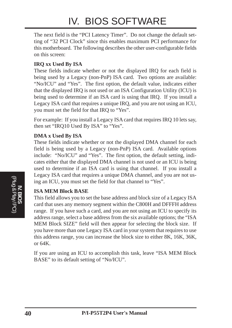# IV. BIOS SOFTWARE

The next field is the "PCI Latency Timer". Do not change the default setting of "32 PCI Clock" since this enables maximum PCI performance for this motherboard. The following describes the other user-configurable fields on this screen:

#### **IRQ xx Used By ISA**

These fields indicate whether or not the displayed IRQ for each field is being used by a Legacy (non-PnP) ISA card. Two options are available: "No/ICU" and "Yes". The first option, the default value, indicates either that the displayed IRQ is not used or an ISA Configuration Utility (ICU) is being used to determine if an ISA card is using that IRQ. If you install a Legacy ISA card that requires a unique IRQ, and you are not using an ICU, you must set the field for that IRQ to "Yes".

For example: If you install a Legacy ISA card that requires IRQ 10 lets say, then set "IRQ10 Used By ISA" to "Yes".

#### **DMA x Used By ISA**

These fields indicate whether or not the displayed DMA channel for each field is being used by a Legacy (non-PnP) ISA card. Available options include: "No/ICU" and "Yes". The first option, the default setting, indicates either that the displayed DMA channel is not used or an ICU is being used to determine if an ISA card is using that channel. If you install a Legacy ISA card that requires a unique DMA channel, and you are not using an ICU, you must set the field for that channel to "Yes".

#### **ISA MEM Block BASE**

This field allows you to set the base address and block size of a Legacy ISA card that uses any memory segment within the C800H and DFFFH address range. If you have such a card, and you are not using an ICU to specify its address range, select a base address from the six available options; the "ISA MEM Block SIZE" field will then appear for selecting the block size. If you have more than one Legacy ISA card in your system that requires to use this address range, you can increase the block size to either 8K, 16K, 36K, or 64K.

If you are using an ICU to accomplish this task, leave "ISA MEM Block BASE" to its default setting of "No/ICU".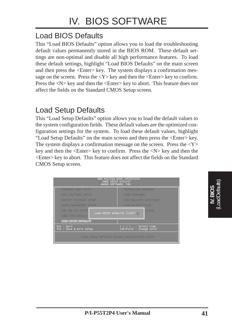# Load BIOS Defaults

This "Load BIOS Defaults" option allows you to load the troubleshooting default values permanently stored in the BIOS ROM. These default settings are non-optimal and disable all high performance features. To load these default settings, highlight "Load BIOS Defaults" on the main screen and then press the <Enter> key. The system displays a confirmation message on the screen. Press the  $\langle Y \rangle$  key and then the  $\langle$ Enter $\rangle$  key to confirm. Press the  $\langle N \rangle$  key and then the  $\langle$ Enter $\rangle$  key to abort. This feature does not affect the fields on the Standard CMOS Setup screen.

### Load Setup Defaults

This "Load Setup Defaults" option allows you to load the default values to the system configuration fields. These default values are the optimized configuration settings for the system. To load these default values, highlight "Load Setup Defaults" on the main screen and then press the <Enter> key. The system displays a confirmation message on the screen. Press the  $<\mathbf{Y}>$ key and then the <Enter> key to confirm. Press the <N> key and then the <Enter> key to abort. This feature does not affect the fields on the Standard CMOS Setup screen.

| <b>STANDARD CHOS STILLE</b>             | <b>SUPERVISOR PASSIORD</b>                      |
|-----------------------------------------|-------------------------------------------------|
| <b>GIOS FEATURES SETUP</b>              | USER PASSWORD                                   |
| CHERSET PEATURES SETUP                  | FOR HOO AUTO DIFFERENCE                         |
| <b>FUART MANAGEMENT SCIUP</b>           | <b>SAVE &amp; EXIT SOTUP</b>                    |
| PHP AND PCT NETTE<br>LOAD IT TOT DEFAUL | <b>VAVING</b><br>Load SETUP Defaults (Y/N)? Y   |
| LOAD SETUP DEFAULTS                     |                                                 |
| Esc : Quit<br>F10 : Save & Exit Setup   | - -   : Select Item<br>(Shift)F2 : Change Color |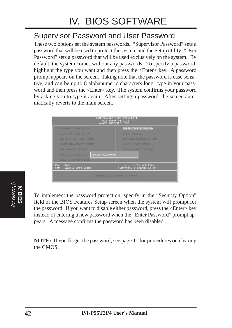### Supervisor Password and User Password

These two options set the system passwords. "Supervisor Password" sets a password that will be used to protect the system and the Setup utility; "User Password" sets a password that will be used exclusively on the system. By default, the system comes without any passwords. To specify a password, highlight the type you want and then press the  $\leq$ Enter $\geq$  key. A password prompt appears on the screen. Taking note that the password is case sensitive, and can be up to 8 alphanumeric characters long, type in your password and then press the <Enter> key. The system confirms your password by asking you to type it again. After setting a password, the screen automatically reverts to the main screen.

| <b>CMOS SETUP UTILITY</b><br>AWARD SOFTWARE, INC. | ROM PCI/ISA BIOS (PI55T2P4)                       |  |  |  |
|---------------------------------------------------|---------------------------------------------------|--|--|--|
| STANDARD CMOS SETUP                               | SUPERVISOR PASSWORD                               |  |  |  |
| <b>BIOS FEATURES SETUP</b>                        | <b>USER PASSWORD</b>                              |  |  |  |
| <b>CHIPSET FEATURES SETUP</b>                     | IDE HDD AUTO DETECTION                            |  |  |  |
| POWER MANAGEMENT SETUP                            | SAVE & EXIT SETUP                                 |  |  |  |
| PNP AND PCI SETUP                                 | <b>EXIT WITHOUT SAVING</b>                        |  |  |  |
| Enter Password:<br><b>LOAD BIOS DEFAULTS</b>      |                                                   |  |  |  |
| <b>LOAD SETUP DEFAULTS</b>                        |                                                   |  |  |  |
| Esc : Quit<br>F10 : Save & Exit Setup             | l → ←   : Select Item<br>(Shift)F2 : Change Color |  |  |  |
| Change/Set/Disable Password                       |                                                   |  |  |  |



To implement the password protection, specify in the "Security Option" field of the BIOS Features Setup screen when the system will prompt for the password. If you want to disable either password, press the <Enter> key instead of entering a new password when the "Enter Password" prompt appears. A message confirms the password has been disabled.

**NOTE:** If you forget the password, see page 11 for procedures on clearing the CMOS.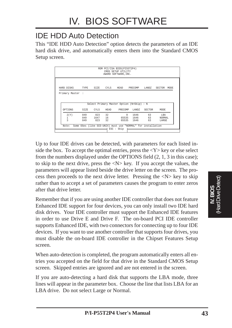# IDE HDD Auto Detection

This "IDE HDD Auto Detection" option detects the parameters of an IDE hard disk drive, and automatically enters them into the Standard CMOS Setup screen.

|                          |      |           |      | ROM PCI/ISA BIOS(PI55T2P4)<br>CMOS SETUP UTILITY<br>AWARD SOFTWARE, INC. |               |        |             |
|--------------------------|------|-----------|------|--------------------------------------------------------------------------|---------------|--------|-------------|
| HARD DISKS               |      | TYPE SIZE |      | CYLS HEAD                                                                | PRECOMP LANDZ |        | SECTOR MODE |
|                          |      |           |      |                                                                          |               |        |             |
| Primary Master :         |      |           |      |                                                                          |               |        |             |
|                          |      |           |      |                                                                          |               |        |             |
|                          |      |           |      | Select Primary Master Option (N=Skip) : N                                |               |        |             |
| OPTIONS                  | SIZE | CYLS      | HEAD | PRECOMP                                                                  | LANDZ         | SECTOR | MODE        |
| 2(Y)                     | 849  | 823       | 32   | $\Omega$                                                                 | 1646          | 63     | LBA         |
| 1                        | 849  | 1647      | 16   |                                                                          | 65535 1646    | 63     | NORMAL      |
| $\overline{\mathcal{L}}$ | 849  | 823       | 32   |                                                                          | 65535 1646    | 63     | LARGE       |

Up to four IDE drives can be detected, with parameters for each listed inside the box. To accept the optimal entries, press the  $\langle Y \rangle$  key or else select from the numbers displayed under the OPTIONS field (2, 1, 3 in this case); to skip to the next drive, press the <N> key. If you accept the values, the parameters will appear listed beside the drive letter on the screen. The process then proceeds to the next drive letter. Pressing the  $\langle N \rangle$  key to skip rather than to accept a set of parameters causes the program to enter zeros after that drive letter.

Remember that if you are using another IDE controller that does not feature Enhanced IDE support for four devices, you can only install two IDE hard disk drives. Your IDE controller must support the Enhanced IDE features in order to use Drive E and Drive F. The on-board PCI IDE controller supports Enhanced IDE, with two connectors for connecting up to four IDE devices. If you want to use another controller that supports four drives, you must disable the on-board IDE controller in the Chipset Features Setup screen.

When auto-detection is completed, the program automatically enters all entries you accepted on the field for that drive in the Standard CMOS Setup screen. Skipped entries are ignored and are not entered in the screen.

If you are auto-detecting a hard disk that supports the LBA mode, three lines will appear in the parameter box. Choose the line that lists LBA for an LBA drive. Do not select Large or Normal.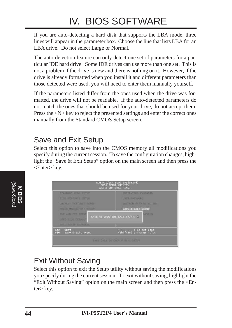# IV. BIOS SOFTWARE

If you are auto-detecting a hard disk that supports the LBA mode, three lines will appear in the parameter box. Choose the line that lists LBA for an LBA drive. Do not select Large or Normal.

The auto-detection feature can only detect one set of parameters for a particular IDE hard drive. Some IDE drives can use more than one set. This is not a problem if the drive is new and there is nothing on it. However, if the drive is already formatted when you install it and different parameters than those detected were used, you will need to enter them manually yourself.

If the parameters listed differ from the ones used when the drive was formatted, the drive will not be readable. If the auto-detected parameters do not match the ones that should be used for your drive, do not accept them. Press the  $\langle N \rangle$  key to reject the presented settings and enter the correct ones manually from the Standard CMOS Setup screen.

### Save and Exit Setup

Select this option to save into the CMOS memory all modifications you specify during the current session. To save the configuration changes, highlight the "Save & Exit Setup" option on the main screen and then press the <Enter> key.

| <b>STANDARD CHOS STILL</b>             | <b>EDPERVITOR PASSICRO</b>                       |
|----------------------------------------|--------------------------------------------------|
| <b>GIOS FEATURES SETUP</b>             | <b>USER PASSWORD</b>                             |
| CHIPANT PEATURES SETUP                 | <b>EGE HDD AUTO DETACTION</b>                    |
| <b>POINTR MANAGEMENT SETUP</b>         | <b>SAVE &amp; EXIT SETUP</b>                     |
| PHP AND PCT ENTIR<br>COAD HIGH DEFAULT | <b>NAVIBIR</b><br>SAVE to ONOS and EXIT (Y/N)? Y |
| LOAD SETUP DEPAIRTS                    |                                                  |

### Exit Without Saving

Select this option to exit the Setup utility without saving the modifications you specify during the current session. To exit without saving, highlight the "Exit Without Saving" option on the main screen and then press the <Enter> key.

**IV. BIOS** (Save & Exit)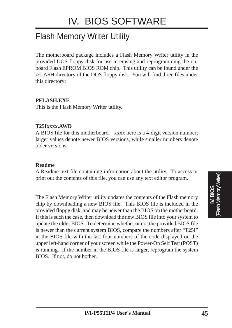# Flash Memory Writer Utility

The motherboard package includes a Flash Memory Writer utility in the provided DOS floppy disk for use in erasing and reprogramming the onboard Flash EPROM BIOS ROM chip. This utility can be found under the \FLASH directory of the DOS floppy disk. You will find three files under this directory:

#### **PFLASH.EXE**

This is the Flash Memory Writer utility.

#### **T25Ixxxx.AWD**

A BIOS file for this motherboard. xxxx here is a 4-digit version number; larger values denote newer BIOS versions, while smaller numbers denote older versions.

#### **Readme**

A Readme text file containing information about the utility. To access or print out the contents of this file, you can use any text editor program.

The Flash Memory Writer utility updates the contents of the Flash memory chip by downloading a new BIOS file. This BIOS file is included in the provided floppy disk, and may be newer than the BIOS on the motherboard. If this is such the case, then download the new BIOS file into your system to update the older BIOS. To determine whether or not the provided BIOS file is newer than the current system BIOS, compare the numbers after "T25I" in the BIOS file with the last four numbers of the code displayed on the upper left-hand corner of your screen while the Power-On Self Test (POST) is running. If the number in the BIOS file is larger, reprogram the system BIOS. If not, do not bother.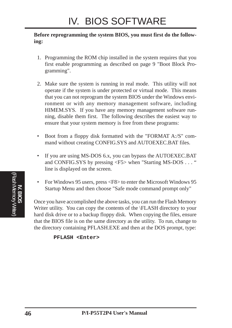#### **Before reprogramming the system BIOS, you must first do the following:**

- 1. Programming the ROM chip installed in the system requires that you first enable programming as described on page 9 "Boot Block Programming".
- 2. Make sure the system is running in real mode. This utility will not operate if the system is under protected or virtual mode. This means that you can not reprogram the system BIOS under the Windows environment or with any memory management software, including HIMEM.SYS. If you have any memory management software running, disable them first. The following describes the easiest way to ensure that your system memory is free from these programs:
- Boot from a floppy disk formatted with the "FORMAT A:/S" command without creating CONFIG.SYS and AUTOEXEC.BAT files.
- If you are using MS-DOS 6.x, you can bypass the AUTOEXEC.BAT and CONFIG.SYS by pressing  $\langle F5 \rangle$  when "Starting MS-DOS ..." line is displayed on the screen.
- For Windows 95 users, press <F8> to enter the Microsoft Windows 95 Startup Menu and then choose "Safe mode command prompt only"

Once you have accomplished the above tasks, you can run the Flash Memory Writer utility. You can copy the contents of the \FLASH directory to your hard disk drive or to a backup floppy disk. When copying the files, ensure that the BIOS file is on the same directory as the utility. To run, change to the directory containing PFLASH.EXE and then at the DOS prompt, type:

```
PFLASH <Enter>
```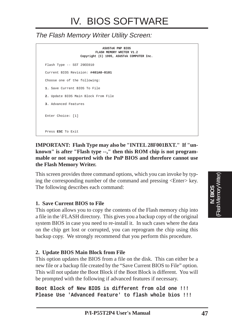### The Flash Memory Writer Utility Screen:

**ASUSTeK PNP BIOS FLASH MEMORY WRITER V1.2 Copyright (C) 1995, ASUSTek COMPUTER Inc.** Flash Type -- SST 29EE010 Current BIOS Revision: **#401A0-0101** Choose one of the following: **1.** Save Current BIOS To File **2.** Update BIOS Main Block From File **3.** Advanced Features Enter Choice: [1] Press **ESC** To Exit

#### **IMPORTANT: Flash Type may also be "INTEL 28F001BXT." If "unknown" is after "Flash type --," then this ROM chip is not programmable or not supported with the PnP BIOS and therefore cannot use the Flash Memory Writer.**

This screen provides three command options, which you can invoke by typing the corresponding number of the command and pressing <Enter> key. The following describes each command:

#### **1. Save Current BIOS to File**

This option allows you to copy the contents of the Flash memory chip into a file in the \FLASH directory. This gives you a backup copy of the original system BIOS in case you need to re-install it. In such cases where the data on the chip get lost or corrupted, you can reprogram the chip using this backup copy. We strongly recommend that you perform this procedure.

#### **2. Update BIOS Main Block from File**

This option updates the BIOS from a file on the disk. This can either be a new file or a backup file created by the "Save Current BIOS to File" option. This will not update the Boot Block if the Boot Block is different. You will be prompted with the following if advanced features if necessary.

**Boot Block of New BIOS is different from old one !!! Please Use 'Advanced Feature' to flash whole bios !!!**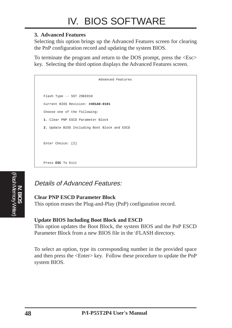#### **3. Advanced Features**

Selecting this option brings up the Advanced Features screen for clearing the PnP configuration record and updating the system BIOS.

To terminate the program and return to the DOS prompt, press the <Esc> key. Selecting the third option displays the Advanced Features screen.

| Advanced Features                            |
|----------------------------------------------|
|                                              |
| Flash Type -- SST 29EE010                    |
| Current BIOS Revision: #401A0-0101           |
| Choose one of the following:                 |
| 1. Clear PNP ESCD Parameter Block            |
| 2. Update BIOS Including Boot Block and ESCD |
|                                              |
| Enter Choice: [2]                            |
|                                              |
| Press ESC To Exit                            |



### Details of Advanced Features:

#### **Clear PNP ESCD Parameter Block**

This option erases the Plug-and-Play (PnP) configuration record.

#### **Update BIOS Including Boot Block and ESCD**

This option updates the Boot Block, the system BIOS and the PnP ESCD Parameter Block from a new BIOS file in the \FLASH directory.

To select an option, type its corresponding number in the provided space and then press the <Enter> key. Follow these procedure to update the PnP system BIOS.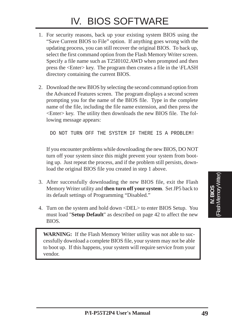# IV. BIOS SOFTWARE

- 1. For security reasons, back up your existing system BIOS using the "Save Current BIOS to File" option. If anything goes wrong with the updating process, you can still recover the original BIOS. To back up, select the first command option from the Flash Memory Writer screen. Specify a file name such as T25I0102.AWD when prompted and then press the <Enter> key. The program then creates a file in the \FLASH directory containing the current BIOS.
- 2. Download the new BIOS by selecting the second command option from the Advanced Features screen. The program displays a second screen prompting you for the name of the BIOS file. Type in the complete name of the file, including the file name extension, and then press the <Enter> key. The utility then downloads the new BIOS file. The following message appears:

DO NOT TURN OFF THE SYSTEM IF THERE IS A PROBLEM!

If you encounter problems while downloading the new BIOS, DO NOT turn off your system since this might prevent your system from booting up. Just repeat the process, and if the problem still persists, download the original BIOS file you created in step 1 above.

- 3. After successfully downloading the new BIOS file, exit the Flash Memory Writer utility and **then turn off your system**. Set JP5 back to its default settings of Programming "Disabled."
- 4. Turn on the system and hold down <DEL> to enter BIOS Setup. You must load "**Setup Default**" as described on page 42 to affect the new BIOS.

**WARNING:** If the Flash Memory Writer utility was not able to successfully download a complete BIOS file, your system may not be able to boot up. If this happens, your system will require service from your vendor.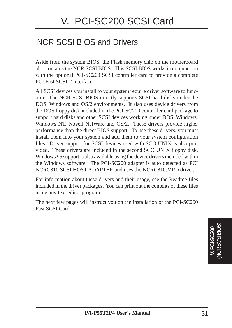# NCR SCSI BIOS and Drivers

Aside from the system BIOS, the Flash memory chip on the motherboard also contains the NCR SCSI BIOS. This SCSI BIOS works in conjunction with the optional PCI-SC200 SCSI controller card to provide a complete PCI Fast SCSI-2 interface.

All SCSI devices you install to your system require driver software to function. The NCR SCSI BIOS directly supports SCSI hard disks under the DOS, Windows and OS/2 environments. It also uses device drivers from the DOS floppy disk included in the PCI-SC200 controller card package to support hard disks and other SCSI devices working under DOS, Windows, Windows NT, Novell NetWare and OS/2. These drivers provide higher performance than the direct BIOS support. To use these drivers, you must install them into your system and add them to your system configuration files. Driver support for SCSI devices used with SCO UNIX is also provided. These drivers are included in the second SCO UNIX floppy disk. Windows 95 support is also available using the device drivers included within the Windows software. The PCI-SC200 adapter is auto detected as PCI NCRC810 SCSI HOST ADAPTER and uses the NCRC810.MPD driver.

For information about these drivers and their usage, see the Readme files included in the driver packages. You can print out the contents of these files using any text editor program.

The next few pages will instruct you on the installation of the PCI-SC200 Fast SCSI Card.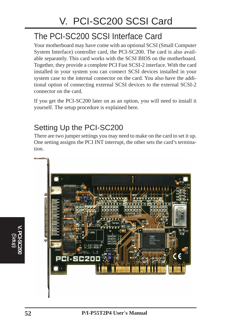# The PCI-SC200 SCSI Interface Card

Your motherboard may have come with an optional SCSI (Small Computer System Interface) controller card, the PCI-SC200. The card is also available separately. This card works with the SCSI BIOS on the motherboard. Together, they provide a complete PCI Fast SCSI-2 interface. With the card installed in your system you can connect SCSI devices installed in your system case to the internal connector on the card. You also have the additional option of connecting external SCSI devices to the external SCSI-2 connector on the card.

If you get the PCI-SC200 later on as an option, you will need to install it yourself. The setup procedure is explained here.

# Setting Up the PCI-SC200

There are two jumper settings you may need to make on the card to set it up. One setting assigns the PCI INT interrupt, the other sets the card's termination.



**V. PCI-SC200** (Setup)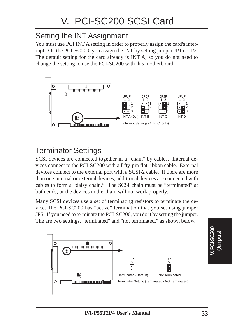# Setting the INT Assignment

You must use PCI INT A setting in order to properly assign the card's interrupt. On the PCI-SC200, you assign the INT by setting jumper JP1 or JP2. The default setting for the card already is INT A, so you do not need to change the setting to use the PCI-SC200 with this motherboard.



# Terminator Settings

SCSI devices are connected together in a "chain" by cables. Internal devices connect to the PCI-SC200 with a fifty-pin flat ribbon cable. External devices connect to the external port with a SCSI-2 cable. If there are more than one internal or external devices, additional devices are connected with cables to form a "daisy chain." The SCSI chain must be "terminated" at both ends, or the devices in the chain will not work properly.

Many SCSI devices use a set of terminating resistors to terminate the device. The PCI-SC200 has "active" termination that you set using jumper JP5. If you need to terminate the PCI-SC200, you do it by setting the jumper. The are two settings, "terminated" and "not terminated," as shown below.